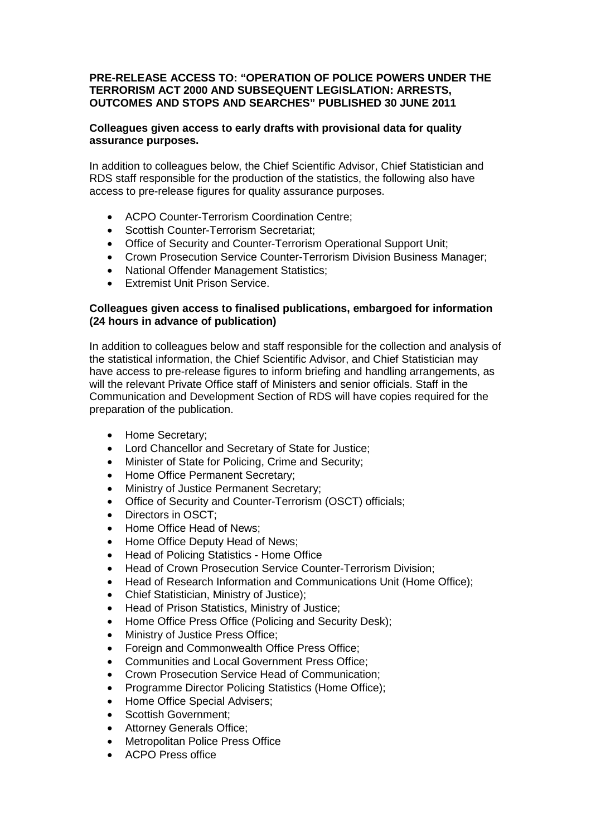## **PRE-RELEASE ACCESS TO: "OPERATION OF POLICE POWERS UNDER THE TERRORISM ACT 2000 AND SUBSEQUENT LEGISLATION: ARRESTS, OUTCOMES AND STOPS AND SEARCHES" PUBLISHED 30 JUNE 2011**

## **Colleagues given access to early drafts with provisional data for quality assurance purposes.**

In addition to colleagues below, the Chief Scientific Advisor, Chief Statistician and RDS staff responsible for the production of the statistics, the following also have access to pre-release figures for quality assurance purposes.

- ACPO Counter-Terrorism Coordination Centre;
- Scottish Counter-Terrorism Secretariat;
- Office of Security and Counter-Terrorism Operational Support Unit;
- Crown Prosecution Service Counter-Terrorism Division Business Manager;
- National Offender Management Statistics;
- Extremist Unit Prison Service.

## **Colleagues given access to finalised publications, embargoed for information (24 hours in advance of publication)**

In addition to colleagues below and staff responsible for the collection and analysis of the statistical information, the Chief Scientific Advisor, and Chief Statistician may have access to pre-release figures to inform briefing and handling arrangements, as will the relevant Private Office staff of Ministers and senior officials. Staff in the Communication and Development Section of RDS will have copies required for the preparation of the publication.

- Home Secretary;
- Lord Chancellor and Secretary of State for Justice;
- Minister of State for Policing, Crime and Security;
- Home Office Permanent Secretary;
- Ministry of Justice Permanent Secretary;
- Office of Security and Counter-Terrorism (OSCT) officials;
- Directors in OSCT;
- Home Office Head of News;
- Home Office Deputy Head of News;
- Head of Policing Statistics Home Office
- Head of Crown Prosecution Service Counter-Terrorism Division;
- Head of Research Information and Communications Unit (Home Office);
- Chief Statistician, Ministry of Justice);
- Head of Prison Statistics, Ministry of Justice;
- Home Office Press Office (Policing and Security Desk);
- Ministry of Justice Press Office;
- Foreign and Commonwealth Office Press Office:
- Communities and Local Government Press Office;
- Crown Prosecution Service Head of Communication;
- Programme Director Policing Statistics (Home Office);
- Home Office Special Advisers;
- Scottish Government:
- Attorney Generals Office:
- Metropolitan Police Press Office
- ACPO Press office